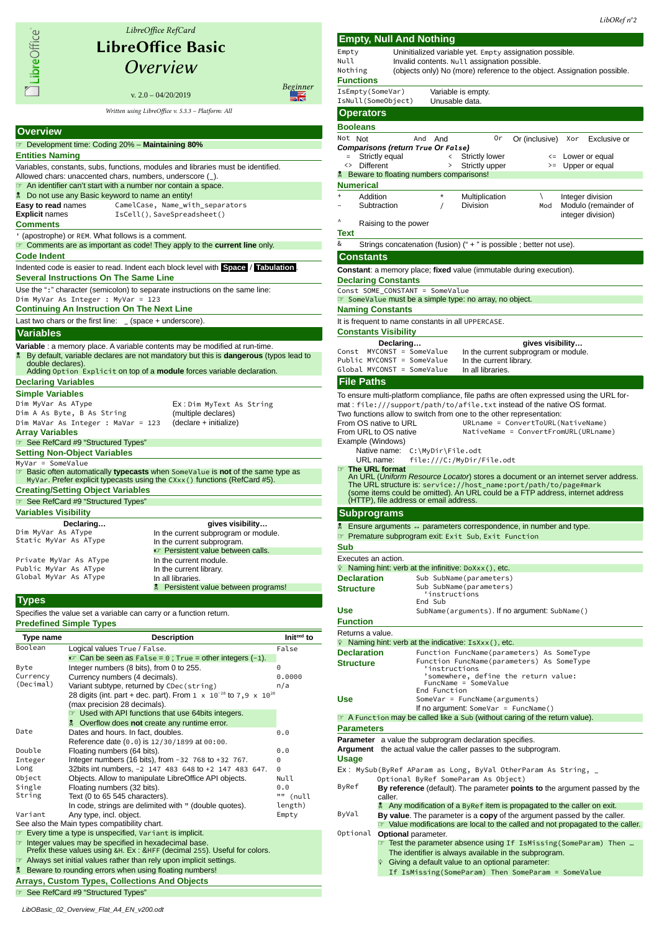

|                                                                                                                                      | IsNull(SomeObject)<br>Unusable data.                                                                                     |                                               |                                   |    |                                                              |     |                  |                                                                |
|--------------------------------------------------------------------------------------------------------------------------------------|--------------------------------------------------------------------------------------------------------------------------|-----------------------------------------------|-----------------------------------|----|--------------------------------------------------------------|-----|------------------|----------------------------------------------------------------|
| <b>Operators</b>                                                                                                                     |                                                                                                                          |                                               |                                   |    |                                                              |     |                  |                                                                |
| <b>Booleans</b>                                                                                                                      |                                                                                                                          |                                               |                                   |    |                                                              |     |                  |                                                                |
| Not Not                                                                                                                              | And And                                                                                                                  |                                               |                                   | 0r | Or (inclusive)                                               |     | Xor              | Exclusive or                                                   |
|                                                                                                                                      | Comparisons (return True Or False)                                                                                       |                                               |                                   |    |                                                              |     |                  |                                                                |
|                                                                                                                                      | Strictly equal                                                                                                           | <                                             | Strictly lower                    |    |                                                              |     |                  | <= Lower or equal                                              |
| <> Different                                                                                                                         |                                                                                                                          | $\,>\,$                                       | Strictly upper                    |    |                                                              |     |                  | >= Upper or equal                                              |
|                                                                                                                                      | <b>Example 3</b> Beware to floating numbers comparisons!                                                                 |                                               |                                   |    |                                                              |     |                  |                                                                |
| Numerical                                                                                                                            |                                                                                                                          |                                               |                                   |    |                                                              |     |                  |                                                                |
| $\ddot{}$<br>Addition                                                                                                                | Subtraction                                                                                                              | $\star$<br>$\prime$                           | Multiplication<br><b>Division</b> |    | ∖                                                            | Mod |                  | Integer division<br>Modulo (remainder of                       |
|                                                                                                                                      |                                                                                                                          |                                               |                                   |    |                                                              |     |                  | integer division)                                              |
| ٨                                                                                                                                    | Raising to the power                                                                                                     |                                               |                                   |    |                                                              |     |                  |                                                                |
| Text                                                                                                                                 |                                                                                                                          |                                               |                                   |    |                                                              |     |                  |                                                                |
| &                                                                                                                                    | Strings concatenation (fusion) (" + " is possible; better not use).                                                      |                                               |                                   |    |                                                              |     |                  |                                                                |
| <b>Constants</b>                                                                                                                     |                                                                                                                          |                                               |                                   |    |                                                              |     |                  |                                                                |
|                                                                                                                                      |                                                                                                                          |                                               |                                   |    |                                                              |     |                  |                                                                |
|                                                                                                                                      | <b>Constant:</b> a memory place; fixed value (immutable during execution).                                               |                                               |                                   |    |                                                              |     |                  |                                                                |
|                                                                                                                                      | <b>Declaring Constants</b>                                                                                               |                                               |                                   |    |                                                              |     |                  |                                                                |
|                                                                                                                                      | Const SOME CONSTANT = SomeValue<br>SomeValue must be a simple type: no array, no object.                                 |                                               |                                   |    |                                                              |     |                  |                                                                |
| <b>Naming Constants</b>                                                                                                              |                                                                                                                          |                                               |                                   |    |                                                              |     |                  |                                                                |
|                                                                                                                                      | It is frequent to name constants in all UPPERCASE.                                                                       |                                               |                                   |    |                                                              |     |                  |                                                                |
|                                                                                                                                      | <b>Constants Visibility</b>                                                                                              |                                               |                                   |    |                                                              |     |                  |                                                                |
|                                                                                                                                      | Declaring                                                                                                                |                                               |                                   |    |                                                              |     | gives visibility |                                                                |
| Const                                                                                                                                | MYCONST = SomeValue                                                                                                      |                                               |                                   |    | In the current subprogram or module.                         |     |                  |                                                                |
|                                                                                                                                      | Public MYCONST = SomeValue                                                                                               |                                               | In the current library.           |    |                                                              |     |                  |                                                                |
|                                                                                                                                      | Global MYCONST = SomeValue                                                                                               |                                               | In all libraries.                 |    |                                                              |     |                  |                                                                |
| <b>File Paths</b>                                                                                                                    |                                                                                                                          |                                               |                                   |    |                                                              |     |                  |                                                                |
|                                                                                                                                      | To ensure multi-platform compliance, file paths are often expressed using the URL for-                                   |                                               |                                   |    |                                                              |     |                  |                                                                |
|                                                                                                                                      | mat: file:///support/path/to/afile.txt instead of the native OS format.                                                  |                                               |                                   |    |                                                              |     |                  |                                                                |
|                                                                                                                                      | Two functions allow to switch from one to the other representation:                                                      |                                               |                                   |    |                                                              |     |                  |                                                                |
|                                                                                                                                      | From OS native to URL                                                                                                    |                                               |                                   |    | URLname = ConvertToURL(NativeName)                           |     |                  |                                                                |
|                                                                                                                                      | From URL to OS native                                                                                                    |                                               |                                   |    | NativeName = ConvertFromURL(URLname)                         |     |                  |                                                                |
| Example (Windows)                                                                                                                    |                                                                                                                          |                                               |                                   |    |                                                              |     |                  |                                                                |
|                                                                                                                                      | Native name:                                                                                                             | C:\MyDir\File.odt                             |                                   |    |                                                              |     |                  |                                                                |
| The URL format                                                                                                                       | URL name:                                                                                                                | file:///C:/MyDir/File.odt                     |                                   |    |                                                              |     |                  |                                                                |
|                                                                                                                                      | An URL (Uniform Resource Locator) stores a document or an internet server address.                                       |                                               |                                   |    |                                                              |     |                  |                                                                |
|                                                                                                                                      | The URL structure is: service://host_name:port/path/to/page#mark                                                         |                                               |                                   |    |                                                              |     |                  |                                                                |
|                                                                                                                                      | (some items could be omitted). An URL could be a FTP address, internet address<br>(HTTP), file address or email address. |                                               |                                   |    |                                                              |     |                  |                                                                |
|                                                                                                                                      |                                                                                                                          |                                               |                                   |    |                                                              |     |                  |                                                                |
|                                                                                                                                      |                                                                                                                          |                                               |                                   |    |                                                              |     |                  |                                                                |
|                                                                                                                                      | <b>Subprograms</b>                                                                                                       |                                               |                                   |    |                                                              |     |                  |                                                                |
|                                                                                                                                      | the Ensure arguments ↔ parameters correspondence, in number and type.                                                    |                                               |                                   |    |                                                              |     |                  |                                                                |
|                                                                                                                                      | <b>T</b> Premature subprogram exit: Exit Sub, Exit Function                                                              |                                               |                                   |    |                                                              |     |                  |                                                                |
| Sub                                                                                                                                  |                                                                                                                          |                                               |                                   |    |                                                              |     |                  |                                                                |
| Executes an action.                                                                                                                  |                                                                                                                          |                                               |                                   |    |                                                              |     |                  |                                                                |
|                                                                                                                                      | $\hat{P}$ Naming hint: verb at the infinitive: DoXxx(), etc.                                                             |                                               |                                   |    |                                                              |     |                  |                                                                |
| <b>Declaration</b>                                                                                                                   |                                                                                                                          | Sub SubName(parameters)                       |                                   |    |                                                              |     |                  |                                                                |
|                                                                                                                                      |                                                                                                                          | Sub SubName(parameters)<br>ınstr              | ucthons                           |    |                                                              |     |                  |                                                                |
|                                                                                                                                      | End Sub                                                                                                                  |                                               |                                   |    |                                                              |     |                  |                                                                |
|                                                                                                                                      |                                                                                                                          |                                               |                                   |    | SubName(arguments). If no argument: SubName()                |     |                  |                                                                |
|                                                                                                                                      |                                                                                                                          |                                               |                                   |    |                                                              |     |                  |                                                                |
|                                                                                                                                      |                                                                                                                          |                                               |                                   |    |                                                              |     |                  |                                                                |
|                                                                                                                                      | $\hat{P}$ Naming hint: verb at the indicative: IsXxx(), etc.                                                             |                                               |                                   |    |                                                              |     |                  |                                                                |
|                                                                                                                                      |                                                                                                                          |                                               |                                   |    | Function FuncName(parameters) As SomeType                    |     |                  |                                                                |
|                                                                                                                                      |                                                                                                                          |                                               |                                   |    | Function FuncName(parameters) As SomeType                    |     |                  |                                                                |
|                                                                                                                                      |                                                                                                                          | 'instructions                                 |                                   |    |                                                              |     |                  |                                                                |
|                                                                                                                                      |                                                                                                                          |                                               |                                   |    | 'somewhere, define the return value:<br>FuncName = SomeValue |     |                  |                                                                |
|                                                                                                                                      |                                                                                                                          | End Function<br>SomeVar = FuncName(arguments) |                                   |    |                                                              |     |                  |                                                                |
|                                                                                                                                      |                                                                                                                          |                                               |                                   |    | If no argument: SomeVar = $FuncName()$                       |     |                  |                                                                |
|                                                                                                                                      | T A Function may be called like a Sub (without caring of the return value).                                              |                                               |                                   |    |                                                              |     |                  |                                                                |
| <b>Structure</b><br>Use<br><b>Function</b><br>Returns a value.<br><b>Declaration</b><br><b>Structure</b><br>Use<br><b>Parameters</b> |                                                                                                                          |                                               |                                   |    |                                                              |     |                  |                                                                |
|                                                                                                                                      | <b>Parameter</b> a value the subprogram declaration specifies.                                                           |                                               |                                   |    |                                                              |     |                  |                                                                |
|                                                                                                                                      | <b>Argument</b> the actual value the caller passes to the subprogram.                                                    |                                               |                                   |    |                                                              |     |                  |                                                                |
|                                                                                                                                      |                                                                                                                          |                                               |                                   |    |                                                              |     |                  |                                                                |
|                                                                                                                                      | Ex: MySub(ByRef AParam as Long, ByVal OtherParam As String, $\_$                                                         |                                               |                                   |    |                                                              |     |                  |                                                                |
|                                                                                                                                      | Optional ByRef SomeParam As Object)                                                                                      |                                               |                                   |    |                                                              |     |                  |                                                                |
|                                                                                                                                      | By reference (default). The parameter points to the argument passed by the                                               |                                               |                                   |    |                                                              |     |                  |                                                                |
|                                                                                                                                      | caller.                                                                                                                  |                                               |                                   |    |                                                              |     |                  |                                                                |
|                                                                                                                                      | Any modification of a ByRefitem is propagated to the caller on exit.                                                     |                                               |                                   |    |                                                              |     |                  |                                                                |
|                                                                                                                                      | By value. The parameter is a copy of the argument passed by the caller.                                                  |                                               |                                   |    |                                                              |     |                  |                                                                |
|                                                                                                                                      | • Value modifications are local to the called and not propagated to the caller.                                          |                                               |                                   |    |                                                              |     |                  |                                                                |
|                                                                                                                                      | <b>Optional</b> parameter.                                                                                               |                                               |                                   |    |                                                              |     |                  | Test the parameter absence using If IsMissing (SomeParam) Then |
|                                                                                                                                      | The identifier is always available in the subprogram.                                                                    |                                               |                                   |    |                                                              |     |                  |                                                                |
|                                                                                                                                      | • Giving a default value to an optional parameter:                                                                       |                                               |                                   |    |                                                              |     |                  |                                                                |
|                                                                                                                                      | If IsMissing(SomeParam) Then SomeParam = SomeValue                                                                       |                                               |                                   |    |                                                              |     |                  |                                                                |
| Usage<br>ByRef<br>ByVal<br>Optional                                                                                                  |                                                                                                                          |                                               |                                   |    |                                                              |     |                  |                                                                |
|                                                                                                                                      |                                                                                                                          |                                               |                                   |    |                                                              |     |                  |                                                                |
|                                                                                                                                      |                                                                                                                          |                                               |                                   |    |                                                              |     |                  |                                                                |
|                                                                                                                                      |                                                                                                                          |                                               |                                   |    |                                                              |     |                  |                                                                |

**Empty, Null And Nothing**

IsEmpty(SomeVar) Variable is empty.

**Functions**

Empty Uninitialized variable yet. Empty assignation possible.<br>Null later invalid contents. Null assignation possible. Null Invalid contents. Null assignation possible.<br>Nothing (objects only) No (more) reference to the ob

(objects only) No (more) reference to the object. Assignation possible.

☞ See RefCard #9 "Structured Types"

See also the [Main types compatibility chart.](#page-1-0)

Double Floating numbers (64 bits). 0.0<br>19.0 Integer Integer numbers (16 bits), from -32 768 to +32 767. 0 Integer Integer numbers (16 bits), from -32 768 to +32 767. 0<br>Long 32bits int numbers, -2 147 483 648 to +2 147 483 647. 0 Long 32bits int numbers, -2 147 483 648 to +2 147 483 647. 0<br>Object Objects. Allow to manipulate LibreOffice API objects. Null

In code, strings are delimited with " (double quotes).

Variant Any type, incl. object. Any type and Any type and Any inclusion of the Empty

☞ Integer values may be specified in hexadecimal base. Prefix these values using &H. Ex : &HFF (decimal 255). Useful for colors. ☞ Always set initial values rather than rely upon implicit settings. **Beware to rounding errors when using floating numbers! Arrays, Custom Types, Collections And Objects**

Floating numbers (32 bits). 0.0

"" (null length)

Object Objects. Allow to manipulate LibreOffice API objects.<br>
String Floating numbers (32 bits).<br>
String Text (0 to 65 545 characters)

Text (0 to  $65$  545 characters).

Every time a type is unspecified, Variant is implicit.